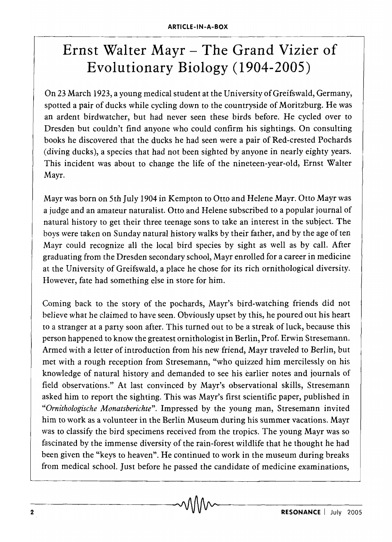## **Ernst Walter Mayr - The Grand Vizier of Evolutionary Biology (1904-2005)**

On 23 March 1923, a young medical student at the University of Greifswald, Germany, spotted a pair of ducks while cycling down to the countryside of Moritzburg. He was an ardent birdwatcher, but had never seen these birds before. He cycled over to Dresden but couldn't find anyone who could confirm his sightings. On consulting books he discovered that the ducks he had seen were a pair of Red-crested Pochards (diving ducks), a species that had not been sighted by anyone in nearly eighty years. This incident was about to change the life of the nineteen-year-old, Ernst Walter Mayr.

Mayr was born on 5th July 1904 in Kempton to Otto and Helene Mayr. Otto Mayr was a judge and an amateur naturalist. Otto and Helene subscribed to a popular journal of natural history to get their three teenage sons to take an interest in the subject. The boys were taken on Sunday natural history walks by their father, and by the age of ten Mayr could recognize all the local bird species by sight as well as by call. After graduating from the Dresden secondary school, Mayr enrolled for a career in medicine at the University of Greifswald, a place he chose for its rich ornithological diversity. However, fate had something else in store for him.

Coming back to the story of the pochards, Mayr's bird-watching friends did not believe what he claimed to have seen. Obviously upset by this, he poured out his heart to a stranger at a party soon after. This turned out to be a streak of luck, because this person happened to know the greatest ornithologist in Berlin, Prof. Erwin Stresemann. Armed with a letter of introduction from his new friend, Mayr traveled to Berlin, but met with a rough reception from Stresemann, "who quizzed him mercilessly on his knowledge of natural history and demanded to see his earlier notes and journals of field observations." At last convinced by Mayr's observational skills, Stresemann asked him to report the sighting. This was Mayr's first scientific paper, published in *"Ornithologische Monatsberichte".* Impressed by the young man, Stresemann invited him to work as a volunteer in the Berlin Museum during his summer vacations. Mayr was to classify the bird specimens received from the tropics. The young Mayr was so fascinated by the immense diversity of the rain-forest wildlife that he thought he had been given the "keys to heaven". He continued to work in the museum during breaks from medical school. Just before he passed the candidate of medicine examinations,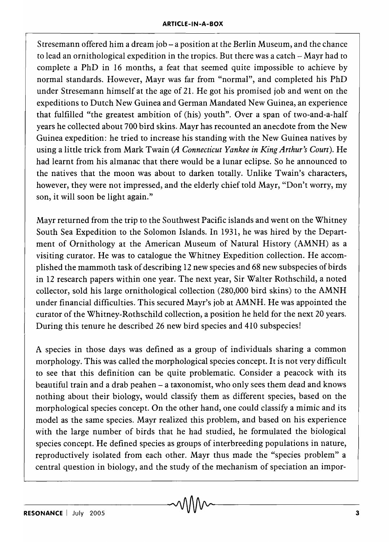Stresemann offered him a dream job – a position at the Berlin Museum, and the chance to lead an ornithological expedition in the tropics. But there was a catch - Mayr had to complete a PhD in 16 months, a feat that seemed quite impossible to achieve by normal standards. However, Mayr was far from "normal", and completed his PhD under Stresemann himself at the age of 21. He got his promised job and went on the expeditions to Dutch New Guinea and German Mandated New Guinea, an experience that fulfilled "the greatest ambition of (his) youth". Over a span of two-and-a-half years he collected about 700 bird skins. Mayr has recounted an anecdote from the New Guinea expedition: he tried to increase his standing with the New Guinea natives by using a little trick from Mark Twain *(A Connecticut Yankee in King Arthur's Court).* He had learnt from his almanac that there would be a lunar eclipse. So he announced to the natives that the moon was about to darken totally. Unlike Twain's characters, however, they were not impressed, and the elderly chief told Mayr, "Don't worry, my son, it will soon be light again."

Mayr returned from the trip to the Southwest Pacific islands and went on the Whitney South Sea Expedition to the Solomon Islands. In 1931, he was hired by the Department of Ornithology at the American Museum of Natural History (AMNH) as a visiting curator. He was to catalogue the Whitney Expedition collection. He accomplished the mammoth task of describing 12 new species and 68 new subspecies of birds in 12 research papers within one year. The next year, Sir Walter Rothschild, a noted collector, sold his large ornithological collection (280,000 bird skins) to the AMNH under financial difficulties. This secured Mayr's job at AMNH. He was appointed the curator of the Whitney-Rothschild collection, a position he held for the next 20 years. During this tenure he described 26 new bird species and 410 subspecies!

A species in those days was defined as a group of individuals sharing a common morphology. This was called the morphological species concept. It is not very difficult to see that this definition can be quite problematic. Consider a peacock with its beautiful train and a drab peahen - a taxonomist, who only sees them dead and knows nothing about their biology, would classify them as different species, based on the morphological species concept. On the other hand, one could classify a mimic and its model as the same species. Mayr realized this problem, and based on his experience with the large number of birds that he had studied, he formulated the biological species concept. He defined species as groups of interbreeding populations in nature, reproductively isolated from each other. Mayr thus made the "species problem" a central question in biology, and the study of the mechanism of speciation an impor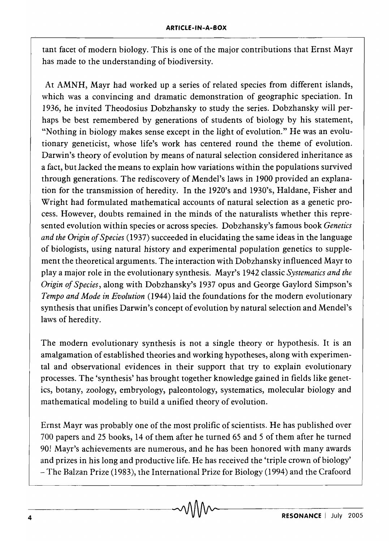tant facet of modern biology. This is one of the major contributions that Ernst Mayr has made to the understanding of biodiversity.

At AMNH, Mayr had worked up a series of related species from different islands, which was a convincing and dramatic demonstration of geographic speciation. In 1936, he invited Theodosius Dobzhansky to study the series. Dobzhansky will perhaps be best remembered by generations of students of biology by his statement, "Nothing in biology makes sense except in the light of evolution." He was an evolutionary geneticist, whose life's work has centered round the theme of evolution. Darwin's theory of evolution by means of natural selection considered inheritance as a fact, but lacked the means to explain how variations within the populations survived through generations. The rediscovery of Mendel's laws in 1900 provided an explanation for the transmission of heredity. In the 1920's and 1930's, Haldane, Fisher and Wright had formulated mathematical accounts of natural selection as a genetic process. However, doubts remained in the minds of the naturalists whether this represented evolution within species or across species. Dobzhansky's famous book *Genetics and the Origin of Species* (1937) succeeded in elucidating the same ideas in the language of biologists, using natural history and experimental population genetics to supplement the theoretical arguments. The interaction with Dobzhansky influenced Mayr to playa major role in the evolutionary synthesis. Mayr's 1942 classic *Systematics and the Origin of Species,* along with Dobzhansky's 1937 opus and George Gaylord Simpson's *Tempo and Mode in Evolution* (1944) laid the foundations for the modern evolutionary synthesis that unifies Darwin's concept of evolution by natural selection and Mendel's laws of heredity.

The modern evolutionary synthesis is not a single theory or hypothesis. It is an amalgamation of established theories and working hypotheses, along with experimental and observational evidences in their support that try to explain evolutionary processes. The 'synthesis' has brought together knowledge gained in fields like genetics, botany, zoology, embryology, paleontology, systematics, molecular biology and mathematical modeling to build a unified theory of evolution.

Ernst Mayr was probably one of the most prolific of scientists. He has published over 700 papers and 25 books, 14 of them after he turned 65 and 5 of them after he turned 90! Mayr's achievements are numerous, and he has been honored with many awards and prizes in his long and productive life. He has received the 'triple crown of biology' - The Balzan Prize (1983), the International Prize for Biology (1994) and the Crafoord